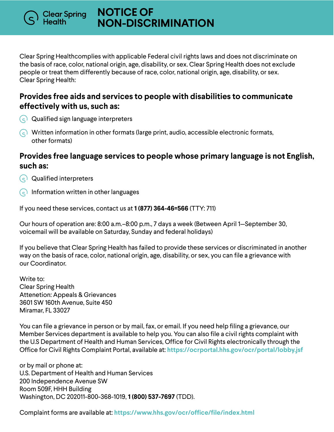**NOTICE OF NON-DISCRIMINATION**

Clear Spring Healthcomplies with applicable Federal civil rights laws and does not discriminate on the basis of race, color, national origin, age, disability, or sex. Clear Spring Health does not exclude people or treat them differently because of race, color, national origin, age, disability, or sex. Clear Spring Health:

## **Provides free aids and services to people with disabilities to communicate effectively with us, such as:**

 $\left\lceil \cdot \right\rceil$  Qualified sign language interpreters

Clear Spr<mark>i</mark>ng<br>Health

 $\odot$  Written information in other formats (large print, audio, accessible electronic formats, other formats)

## **Provides free language services to people whose primary language is not English, such as:**

- $\Omega$  Qualified interpreters
- $\bigcirc$  Information written in other languages

If you need these services, contact us at **1 (877) 364-46=566** (TTY: 711)

Our hours of operation are: 8:00 a.m.–8:00 p.m., 7 days a week (Between April 1—September 30, voicemail will be available on Saturday, Sunday and federal holidays)

If you believe that Clear Spring Health has failed to provide these services or discriminated in another way on the basis of race, color, national origin, age, disability, or sex, you can file a grievance with our Coordinator.

Write to: Clear Spring Health Attenetion: Appeals & Grievances 3601 SW 160th Avenue, Suite 450 Miramar, FL 33027

You can file a grievance in person or by mail, fax, or email. If you need help filing a grievance, our Member Services department is available to help you. You can also file a civil rights complaint with the U.S Department of Health and Human Services, Office for Civil Rights electronically through the Office for Civil Rights Complaint Portal, available at: **https://ocrportal.hhs.gov/ocr/portal/lobby.jsf**

or by mail or phone at: U.S. Department of Health and Human Services 200 Independence Avenue SW Room 509F, HHH Building Washington, DC 202011-800-368-1019, **1 (800) 537-7697** (TDD).

Complaint forms are available at: **https://www.hhs.gov/ocr/office/file/index.html**